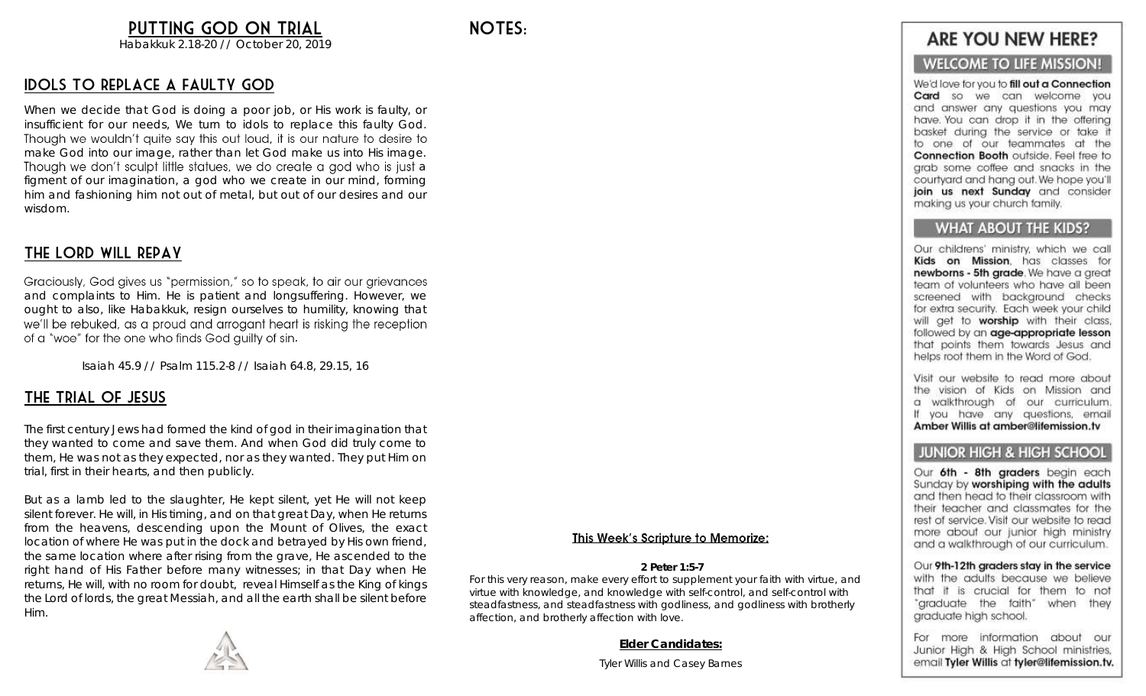### PUTTING GOD ON TRIAL

Habakkuk 2.18-20 // October 20, 2019

### Idols to replace a faulty God

When we decide that God is doing a poor job, or His work is faulty, or insufficient for our needs, We turn to idols to replace this faulty God.<br>Though we wouldn't quite say this out loud, it is our nature to desire to make God into our image, rather than let God make us into His image. Though we don't sculpt little statues, we do create a god who is just a figment of our imagination, a god who we create in our mind, forming him and fashioning him not out of metal, but out of our desires and our wisdom.

### The Lord Will repay

Graciously, God gives us "permission," so to speak, to air our grievances and complaints to Him. He is patient and longsuffering. However, we ought to also, like Habakkuk, resign ourselves to humility, knowing that we'll be rebuked, as a proud and arrogant heart is risking the reception of a "woe" for the one who finds God quilty of sin.

Isaiah 45.9 // Psalm 115.2-8 // Isaiah 64.8, 29.15, 16

### The Trial of Jesus

The first century Jews had formed the kind of god in their imagination that they wanted to come and save them. And when God did truly come to them, He was not as they expected, nor as they wanted. They put Him on trial, first in their hearts, and then publicly.

But as a lamb led to the slaughter, He kept silent, yet He will not keep silent forever. He will, in His timing, and on that great Day, when He returns from the heavens, descending upon the Mount of Olives, the exact location of where He was put in the dock and betrayed by His own friend, the same location where after rising from the grave, He ascended to the right hand of His Father before many witnesses; in that Day when He returns, He will, with no room for doubt, reveal Himself as the King of kings the Lord of lords, the great Messiah, and all the earth shall be silent before Him.



#### This Week's Scripture to Memorize:

#### 2 Peter 1:5-7

For this very reason, make every effort to supplement your faith with virtue, and virtue with knowledge, and knowledge with self-control, and self-control with steadfastness, and steadfastness with godliness, and godliness with brotherly affection, and brotherly affection with love.

Elder Candidates:

Tyler Willis and Casey Barnes

### **ARE YOU NEW HERE?**

### **WELCOME TO LIFE MISSION!**

We'd love for you to fill out a Connection Card so we can welcome you and answer any questions you may have. You can drop it in the offering basket during the service or take it to one of our teammates at the Connection Booth outside. Feel free to arab some coffee and snacks in the courtyard and hang out. We hope you'll join us next Sunday and consider making us your church family.

#### **WHAT ABOUT THE KIDS?**

Our childrens' ministry, which we call Kids on Mission. has classes for newborns - 5th grade. We have a great team of volunteers who have all been screened with backaround checks for extra security. Each week your child will get to worship with their class, followed by an age-appropriate lesson that points them towards Jesus and helps root them in the Word of God.

Visit our website to read more about the vision of Kids on Mission and a walkthrough of our curriculum. If you have any questions, email Amber Willis at amber@lifemission.tv

#### **JUNIOR HIGH & HIGH SCHOOL**

Our 6th - 8th graders begin each Sunday by worshiping with the adults and then head to their classroom with their teacher and classmates for the rest of service. Visit our website to read more about our junior high ministry and a walkthrough of our curriculum.

Our 9th-12th graders stay in the service with the adults because we believe that it is crucial for them to not "graduate the faith" when they graduate high school.

For more information about our Junior High & High School ministries, email Tyler Willis at tyler@lifemission.tv.

Notes: